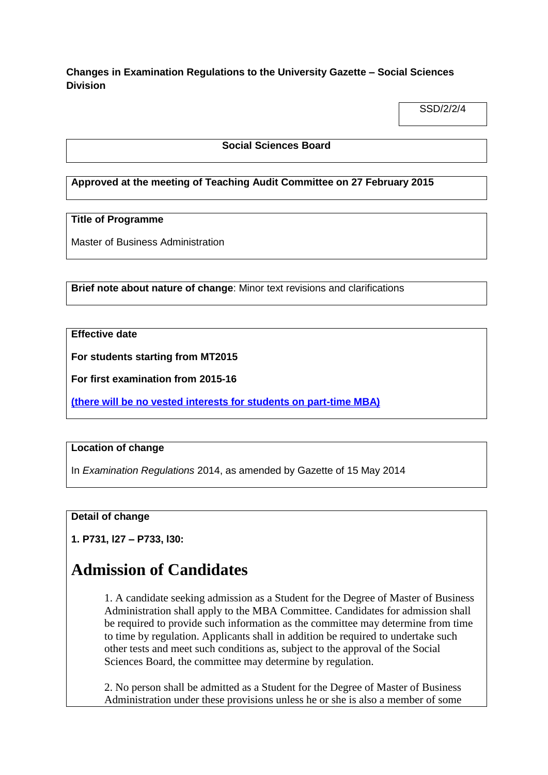**Changes in Examination Regulations to the University Gazette – Social Sciences Division**

SSD/2/2/4

#### **Social Sciences Board**

### **Approved at the meeting of Teaching Audit Committee on 27 February 2015**

### **Title of Programme**

Master of Business Administration

**Brief note about nature of change**: Minor text revisions and clarifications

### **Effective date**

**For students starting from MT2015**

**For first examination from 2015-16**

**(there will be no vested interests for students on part-time MBA)**

### **Location of change**

In *Examination Regulations* 2014, as amended by Gazette of 15 May 2014

### **Detail of change**

**1. P731, l27 – P733, l30:**

## **Admission of Candidates**

1. A candidate seeking admission as a Student for the Degree of Master of Business Administration shall apply to the MBA Committee. Candidates for admission shall be required to provide such information as the committee may determine from time to time by regulation. Applicants shall in addition be required to undertake such other tests and meet such conditions as, subject to the approval of the Social Sciences Board, the committee may determine by regulation.

2. No person shall be admitted as a Student for the Degree of Master of Business Administration under these provisions unless he or she is also a member of some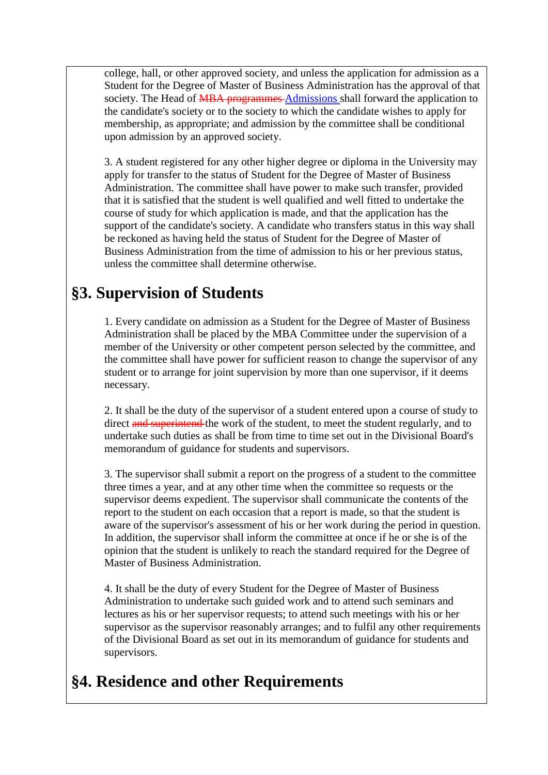college, hall, or other approved society, and unless the application for admission as a Student for the Degree of Master of Business Administration has the approval of that society. The Head of MBA programmes Admissions shall forward the application to the candidate's society or to the society to which the candidate wishes to apply for membership, as appropriate; and admission by the committee shall be conditional upon admission by an approved society.

3. A student registered for any other higher degree or diploma in the University may apply for transfer to the status of Student for the Degree of Master of Business Administration. The committee shall have power to make such transfer, provided that it is satisfied that the student is well qualified and well fitted to undertake the course of study for which application is made, and that the application has the support of the candidate's society. A candidate who transfers status in this way shall be reckoned as having held the status of Student for the Degree of Master of Business Administration from the time of admission to his or her previous status, unless the committee shall determine otherwise.

## **§3. Supervision of Students**

1. Every candidate on admission as a Student for the Degree of Master of Business Administration shall be placed by the MBA Committee under the supervision of a member of the University or other competent person selected by the committee, and the committee shall have power for sufficient reason to change the supervisor of any student or to arrange for joint supervision by more than one supervisor, if it deems necessary.

2. It shall be the duty of the supervisor of a student entered upon a course of study to direct and superintend the work of the student, to meet the student regularly, and to undertake such duties as shall be from time to time set out in the Divisional Board's memorandum of guidance for students and supervisors.

3. The supervisor shall submit a report on the progress of a student to the committee three times a year, and at any other time when the committee so requests or the supervisor deems expedient. The supervisor shall communicate the contents of the report to the student on each occasion that a report is made, so that the student is aware of the supervisor's assessment of his or her work during the period in question. In addition, the supervisor shall inform the committee at once if he or she is of the opinion that the student is unlikely to reach the standard required for the Degree of Master of Business Administration.

4. It shall be the duty of every Student for the Degree of Master of Business Administration to undertake such guided work and to attend such seminars and lectures as his or her supervisor requests; to attend such meetings with his or her supervisor as the supervisor reasonably arranges; and to fulfil any other requirements of the Divisional Board as set out in its memorandum of guidance for students and supervisors.

# **§4. Residence and other Requirements**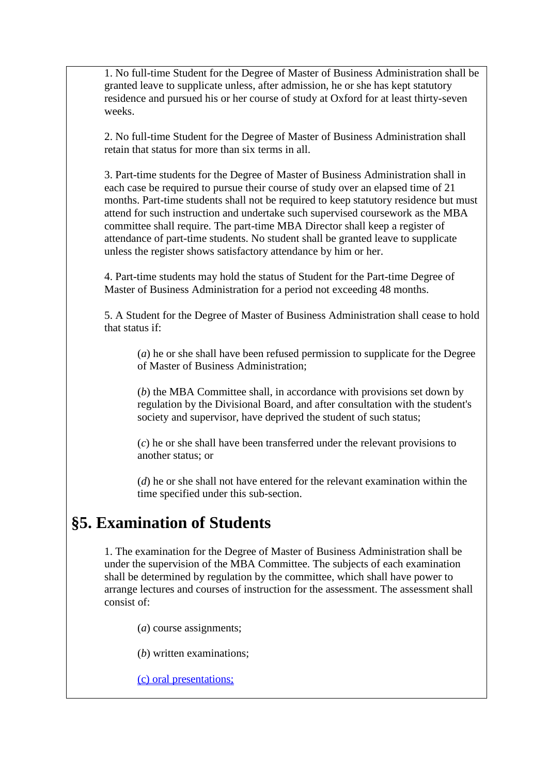1. No full-time Student for the Degree of Master of Business Administration shall be granted leave to supplicate unless, after admission, he or she has kept statutory residence and pursued his or her course of study at Oxford for at least thirty-seven weeks.

2. No full-time Student for the Degree of Master of Business Administration shall retain that status for more than six terms in all.

3. Part-time students for the Degree of Master of Business Administration shall in each case be required to pursue their course of study over an elapsed time of 21 months. Part-time students shall not be required to keep statutory residence but must attend for such instruction and undertake such supervised coursework as the MBA committee shall require. The part-time MBA Director shall keep a register of attendance of part-time students. No student shall be granted leave to supplicate unless the register shows satisfactory attendance by him or her.

4. Part-time students may hold the status of Student for the Part-time Degree of Master of Business Administration for a period not exceeding 48 months.

5. A Student for the Degree of Master of Business Administration shall cease to hold that status if:

(*a*) he or she shall have been refused permission to supplicate for the Degree of Master of Business Administration;

(*b*) the MBA Committee shall, in accordance with provisions set down by regulation by the Divisional Board, and after consultation with the student's society and supervisor, have deprived the student of such status;

(*c*) he or she shall have been transferred under the relevant provisions to another status; or

(*d*) he or she shall not have entered for the relevant examination within the time specified under this sub-section.

## **§5. Examination of Students**

1. The examination for the Degree of Master of Business Administration shall be under the supervision of the MBA Committee. The subjects of each examination shall be determined by regulation by the committee, which shall have power to arrange lectures and courses of instruction for the assessment. The assessment shall consist of:

(*a*) course assignments;

(*b*) written examinations;

(c) oral presentations;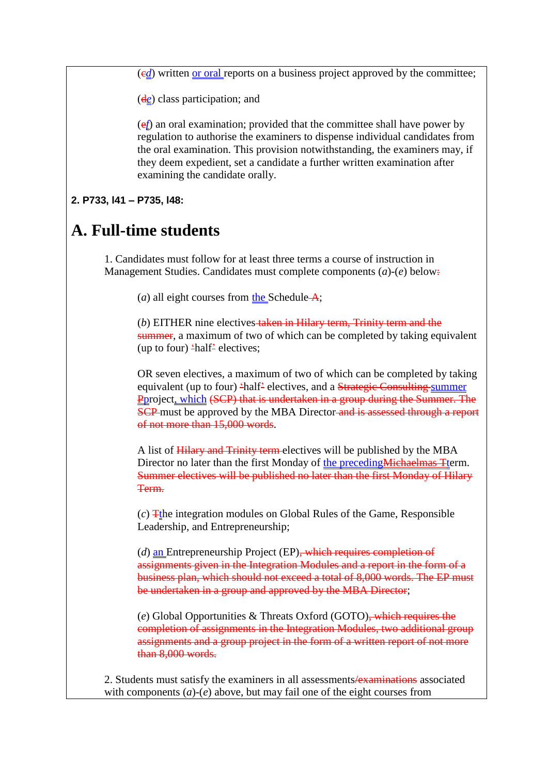(ed) written <u>or oral</u> reports on a business project approved by the committee;

(d*e*) class participation; and

(e*f*) an oral examination; provided that the committee shall have power by regulation to authorise the examiners to dispense individual candidates from the oral examination. This provision notwithstanding, the examiners may, if they deem expedient, set a candidate a further written examination after examining the candidate orally.

### **2. P733, l41 – P735, l48:**

## **A. Full-time students**

1. Candidates must follow for at least three terms a course of instruction in Management Studies. Candidates must complete components (*a*)-(*e*) below:

(*a*) all eight courses from the Schedule-A;

(*b*) EITHER nine electives taken in Hilary term, Trinity term and the summer, a maximum of two of which can be completed by taking equivalent (up to four)  $\frac{1}{2}$  half-electives;

OR seven electives, a maximum of two of which can be completed by taking equivalent (up to four) 'half' electives, and a Strategic Consulting summer Pproject, which (SCP) that is undertaken in a group during the Summer. The **SCP** must be approved by the MBA Director and is assessed through a report of not more than 15,000 words.

A list of Hilary and Trinity term electives will be published by the MBA Director no later than the first Monday of the preceding Michaelmas Tterm. Summer electives will be published no later than the first Monday of Hilary Term.

(*c*) Tthe integration modules on Global Rules of the Game, Responsible Leadership, and Entrepreneurship;

(*d*) an Entrepreneurship Project (EP)<del>, which requires completion of</del> assignments given in the Integration Modules and a report in the form of a business plan, which should not exceed a total of 8,000 words. The EP must be undertaken in a group and approved by the MBA Director;

(*e*) Global Opportunities & Threats Oxford (GOTO), which requires the completion of assignments in the Integration Modules, two additional group assignments and a group project in the form of a written report of not more than 8,000 words.

2. Students must satisfy the examiners in all assessments **/examinations** associated with components (*a*)-(*e*) above, but may fail one of the eight courses from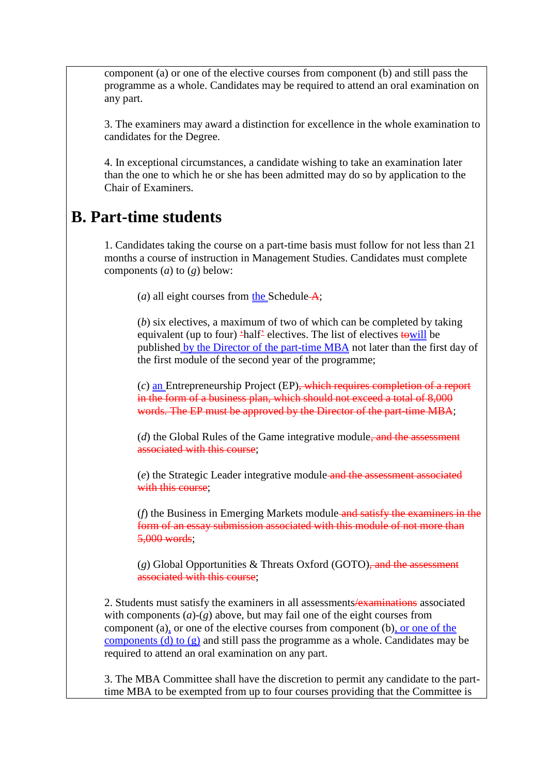component (a) or one of the elective courses from component (b) and still pass the programme as a whole. Candidates may be required to attend an oral examination on any part.

3. The examiners may award a distinction for excellence in the whole examination to candidates for the Degree.

4. In exceptional circumstances, a candidate wishing to take an examination later than the one to which he or she has been admitted may do so by application to the Chair of Examiners.

### **B. Part-time students**

1. Candidates taking the course on a part-time basis must follow for not less than 21 months a course of instruction in Management Studies. Candidates must complete components (*a*) to (*g*) below:

(*a*) all eight courses from the Schedule-A;

(*b*) six electives, a maximum of two of which can be completed by taking equivalent (up to four) -half- electives. The list of electives towill be published by the Director of the part-time MBA not later than the first day of the first module of the second year of the programme;

(*c*) an Entrepreneurship Project (EP), which requires completion of a report in the form of a business plan, which should not exceed a total of 8,000 words. The EP must be approved by the Director of the part-time MBA;

(*d*) the Global Rules of the Game integrative module, and the assessment associated with this course;

(*e*) the Strategic Leader integrative module and the assessment associated with this course:

(*f*) the Business in Emerging Markets module and satisfy the examiners in the form of an essay submission associated with this module of not more than 5,000 words;

(*g*) Global Opportunities & Threats Oxford (GOTO), and the assessment associated with this course;

2. Students must satisfy the examiners in all assessments/examinations associated with components  $(a)-(g)$  above, but may fail one of the eight courses from component  $(a)$ , or one of the elective courses from component  $(b)$ , or one of the components (d) to (g) and still pass the programme as a whole. Candidates may be required to attend an oral examination on any part.

3. The MBA Committee shall have the discretion to permit any candidate to the parttime MBA to be exempted from up to four courses providing that the Committee is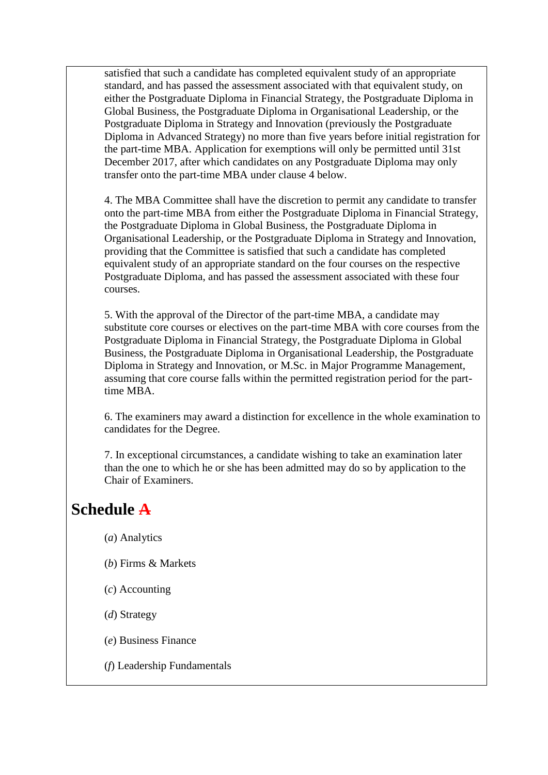satisfied that such a candidate has completed equivalent study of an appropriate standard, and has passed the assessment associated with that equivalent study, on either the Postgraduate Diploma in Financial Strategy, the Postgraduate Diploma in Global Business, the Postgraduate Diploma in Organisational Leadership, or the Postgraduate Diploma in Strategy and Innovation (previously the Postgraduate Diploma in Advanced Strategy) no more than five years before initial registration for the part-time MBA. Application for exemptions will only be permitted until 31st December 2017, after which candidates on any Postgraduate Diploma may only transfer onto the part-time MBA under clause 4 below.

4. The MBA Committee shall have the discretion to permit any candidate to transfer onto the part-time MBA from either the Postgraduate Diploma in Financial Strategy, the Postgraduate Diploma in Global Business, the Postgraduate Diploma in Organisational Leadership, or the Postgraduate Diploma in Strategy and Innovation, providing that the Committee is satisfied that such a candidate has completed equivalent study of an appropriate standard on the four courses on the respective Postgraduate Diploma, and has passed the assessment associated with these four courses.

5. With the approval of the Director of the part-time MBA, a candidate may substitute core courses or electives on the part-time MBA with core courses from the Postgraduate Diploma in Financial Strategy, the Postgraduate Diploma in Global Business, the Postgraduate Diploma in Organisational Leadership, the Postgraduate Diploma in Strategy and Innovation, or M.Sc. in Major Programme Management, assuming that core course falls within the permitted registration period for the parttime MBA.

6. The examiners may award a distinction for excellence in the whole examination to candidates for the Degree.

7. In exceptional circumstances, a candidate wishing to take an examination later than the one to which he or she has been admitted may do so by application to the Chair of Examiners.

## **Schedule A**

- (*a*) Analytics
- (*b*) Firms & Markets
- (*c*) Accounting
- (*d*) Strategy
- (*e*) Business Finance
- (*f*) Leadership Fundamentals